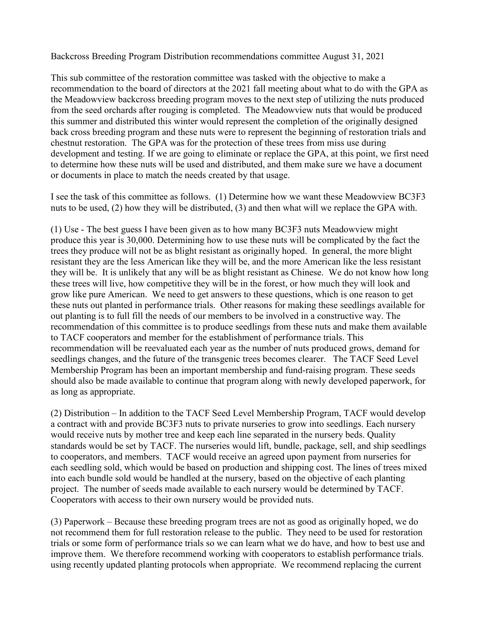Backcross Breeding Program Distribution recommendations committee August 31, 2021

This sub committee of the restoration committee was tasked with the objective to make a recommendation to the board of directors at the 2021 fall meeting about what to do with the GPA as the Meadowview backcross breeding program moves to the next step of utilizing the nuts produced from the seed orchards after rouging is completed. The Meadowview nuts that would be produced this summer and distributed this winter would represent the completion of the originally designed back cross breeding program and these nuts were to represent the beginning of restoration trials and chestnut restoration. The GPA was for the protection of these trees from miss use during development and testing. If we are going to eliminate or replace the GPA, at this point, we first need to determine how these nuts will be used and distributed, and them make sure we have a document or documents in place to match the needs created by that usage.

I see the task of this committee as follows. (1) Determine how we want these Meadowview BC3F3 nuts to be used, (2) how they will be distributed, (3) and then what will we replace the GPA with.

(1) Use - The best guess I have been given as to how many BC3F3 nuts Meadowview might produce this year is 30,000. Determining how to use these nuts will be complicated by the fact the trees they produce will not be as blight resistant as originally hoped. In general, the more blight resistant they are the less American like they will be, and the more American like the less resistant they will be. It is unlikely that any will be as blight resistant as Chinese. We do not know how long these trees will live, how competitive they will be in the forest, or how much they will look and grow like pure American. We need to get answers to these questions, which is one reason to get these nuts out planted in performance trials. Other reasons for making these seedlings available for out planting is to full fill the needs of our members to be involved in a constructive way. The recommendation of this committee is to produce seedlings from these nuts and make them available to TACF cooperators and member for the establishment of performance trials. This recommendation will be reevaluated each year as the number of nuts produced grows, demand for seedlings changes, and the future of the transgenic trees becomes clearer. The TACF Seed Level Membership Program has been an important membership and fund-raising program. These seeds should also be made available to continue that program along with newly developed paperwork, for as long as appropriate.

(2) Distribution – In addition to the TACF Seed Level Membership Program, TACF would develop a contract with and provide BC3F3 nuts to private nurseries to grow into seedlings. Each nursery would receive nuts by mother tree and keep each line separated in the nursery beds. Quality standards would be set by TACF. The nurseries would lift, bundle, package, sell, and ship seedlings to cooperators, and members. TACF would receive an agreed upon payment from nurseries for each seedling sold, which would be based on production and shipping cost. The lines of trees mixed into each bundle sold would be handled at the nursery, based on the objective of each planting project. The number of seeds made available to each nursery would be determined by TACF. Cooperators with access to their own nursery would be provided nuts.

(3) Paperwork – Because these breeding program trees are not as good as originally hoped, we do not recommend them for full restoration release to the public. They need to be used for restoration trials or some form of performance trials so we can learn what we do have, and how to best use and improve them. We therefore recommend working with cooperators to establish performance trials. using recently updated planting protocols when appropriate. We recommend replacing the current